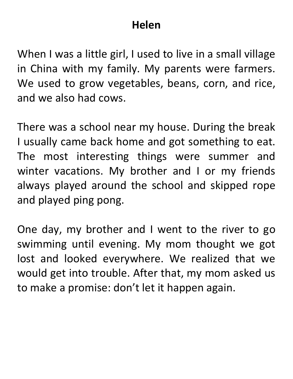### **Helen**

When I was a little girl, I used to live in a small village in China with my family. My parents were farmers. We used to grow vegetables, beans, corn, and rice, and we also had cows.

There was a school near my house. During the break I usually came back home and got something to eat. The most interesting things were summer and winter vacations. My brother and I or my friends always played around the school and skipped rope and played ping pong.

One day, my brother and I went to the river to go swimming until evening. My mom thought we got lost and looked everywhere. We realized that we would get into trouble. After that, my mom asked us to make a promise: don't let it happen again.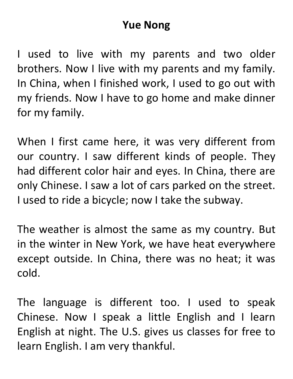# **Yue Nong**

I used to live with my parents and two older brothers. Now I live with my parents and my family. In China, when I finished work, I used to go out with my friends. Now I have to go home and make dinner for my family.

When I first came here, it was very different from our country. I saw different kinds of people. They had different color hair and eyes. In China, there are only Chinese. I saw a lot of cars parked on the street. I used to ride a bicycle; now I take the subway.

The weather is almost the same as my country. But in the winter in New York, we have heat everywhere except outside. In China, there was no heat; it was cold.

The language is different too. I used to speak Chinese. Now I speak a little English and I learn English at night. The U.S. gives us classes for free to learn English. I am very thankful.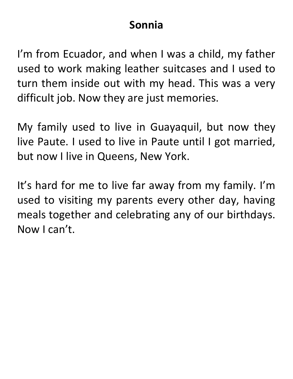# **Sonnia**

I'm from Ecuador, and when I was a child, my father used to work making leather suitcases and I used to turn them inside out with my head. This was a very difficult job. Now they are just memories.

My family used to live in Guayaquil, but now they live Paute. I used to live in Paute until I got married, but now I live in Queens, New York.

It's hard for me to live far away from my family. I'm used to visiting my parents every other day, having meals together and celebrating any of our birthdays. Now I can't.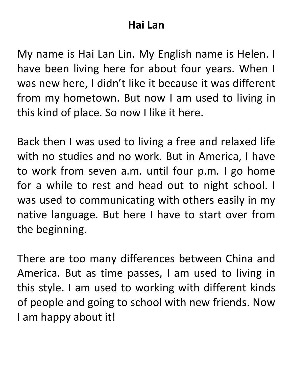# **Hai Lan**

My name is Hai Lan Lin. My English name is Helen. I have been living here for about four years. When I was new here, I didn't like it because it was different from my hometown. But now I am used to living in this kind of place. So now I like it here.

Back then I was used to living a free and relaxed life with no studies and no work. But in America, I have to work from seven a.m. until four p.m. I go home for a while to rest and head out to night school. I was used to communicating with others easily in my native language. But here I have to start over from the beginning.

There are too many differences between China and America. But as time passes, I am used to living in this style. I am used to working with different kinds of people and going to school with new friends. Now I am happy about it!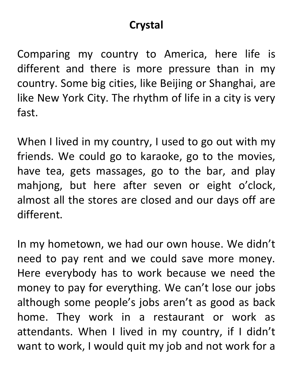# **Crystal**

Comparing my country to America, here life is different and there is more pressure than in my country. Some big cities, like Beijing or Shanghai, are like New York City. The rhythm of life in a city is very fast.

When I lived in my country, I used to go out with my friends. We could go to karaoke, go to the movies, have tea, gets massages, go to the bar, and play mahjong, but here after seven or eight o'clock, almost all the stores are closed and our days off are different.

In my hometown, we had our own house. We didn't need to pay rent and we could save more money. Here everybody has to work because we need the money to pay for everything. We can't lose our jobs although some people's jobs aren't as good as back home. They work in a restaurant or work as attendants. When I lived in my country, if I didn't want to work, I would quit my job and not work for a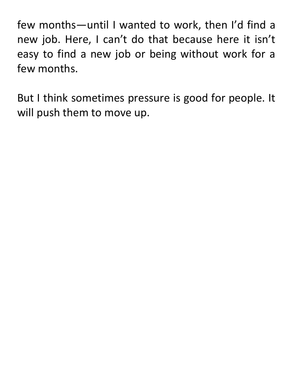few months—until I wanted to work, then I'd find a new job. Here, I can't do that because here it isn't easy to find a new job or being without work for a few months.

But I think sometimes pressure is good for people. It will push them to move up.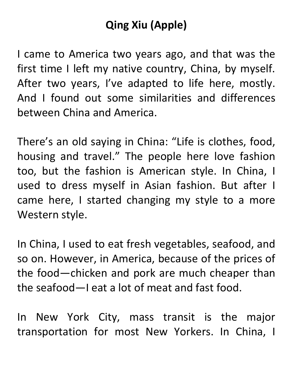# **Qing Xiu (Apple)**

I came to America two years ago, and that was the first time I left my native country, China, by myself. After two years, I've adapted to life here, mostly. And I found out some similarities and differences between China and America.

There's an old saying in China: "Life is clothes, food, housing and travel." The people here love fashion too, but the fashion is American style. In China, I used to dress myself in Asian fashion. But after I came here, I started changing my style to a more Western style.

In China, I used to eat fresh vegetables, seafood, and so on. However, in America, because of the prices of the food—chicken and pork are much cheaper than the seafood—I eat a lot of meat and fast food.

In New York City, mass transit is the major transportation for most New Yorkers. In China, I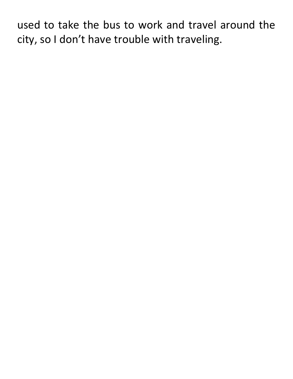used to take the bus to work and travel around the city, so I don't have trouble with traveling.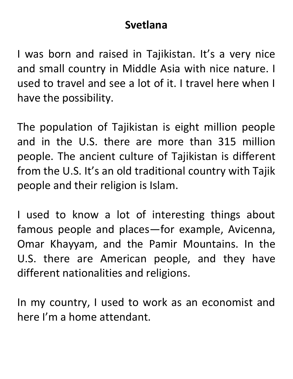### **Svetlana**

I was born and raised in Tajikistan. It's a very nice and small country in Middle Asia with nice nature. I used to travel and see a lot of it. I travel here when I have the possibility.

The population of Tajikistan is eight million people and in the U.S. there are more than 315 million people. The ancient culture of Tajikistan is different from the U.S. It's an old traditional country with Tajik people and their religion is Islam.

I used to know a lot of interesting things about famous people and places—for example, Avicenna, Omar Khayyam, and the Pamir Mountains. In the U.S. there are American people, and they have different nationalities and religions.

In my country, I used to work as an economist and here I'm a home attendant.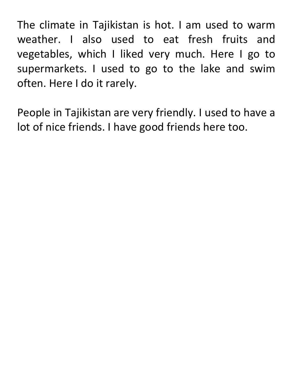The climate in Tajikistan is hot. I am used to warm weather. I also used to eat fresh fruits and vegetables, which I liked very much. Here I go to supermarkets. I used to go to the lake and swim often. Here I do it rarely.

People in Tajikistan are very friendly. I used to have a lot of nice friends. I have good friends here too.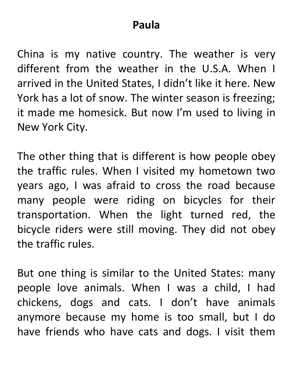#### **Paula**

China is my native country. The weather is very different from the weather in the U.S.A. When I arrived in the United States, I didn't like it here. New York has a lot of snow. The winter season is freezing; it made me homesick. But now I'm used to living in New York City.

The other thing that is different is how people obey the traffic rules. When I visited my hometown two years ago, I was afraid to cross the road because many people were riding on bicycles for their transportation. When the light turned red, the bicycle riders were still moving. They did not obey the traffic rules.

But one thing is similar to the United States: many people love animals. When I was a child, I had chickens, dogs and cats. I don't have animals anymore because my home is too small, but I do have friends who have cats and dogs. I visit them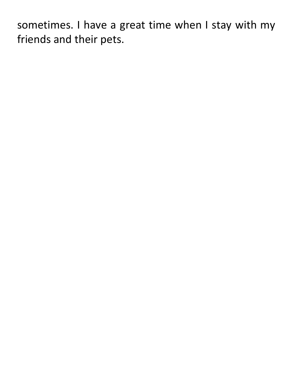sometimes. I have a great time when I stay with my friends and their pets.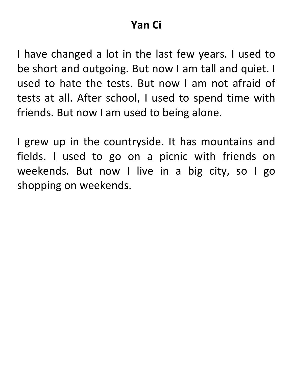### **Yan Ci**

I have changed a lot in the last few years. I used to be short and outgoing. But now I am tall and quiet. I used to hate the tests. But now I am not afraid of tests at all. After school, I used to spend time with friends. But now I am used to being alone.

I grew up in the countryside. It has mountains and fields. I used to go on a picnic with friends on weekends. But now I live in a big city, so I go shopping on weekends.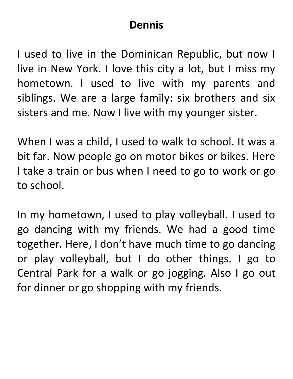# **Dennis**

I used to live in the Dominican Republic, but now I live in New York. I love this city a lot, but I miss my hometown. I used to live with my parents and siblings. We are a large family: six brothers and six sisters and me. Now I live with my younger sister.

When I was a child, I used to walk to school. It was a bit far. Now people go on motor bikes or bikes. Here I take a train or bus when I need to go to work or go to school.

In my hometown, I used to play volleyball. I used to go dancing with my friends. We had a good time together. Here, I don't have much time to go dancing or play volleyball, but I do other things. I go to Central Park for a walk or go jogging. Also I go out for dinner or go shopping with my friends.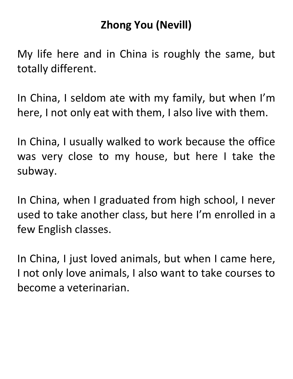# **Zhong You (Nevill)**

My life here and in China is roughly the same, but totally different.

In China, I seldom ate with my family, but when I'm here, I not only eat with them, I also live with them.

In China, I usually walked to work because the office was very close to my house, but here I take the subway.

In China, when I graduated from high school, I never used to take another class, but here I'm enrolled in a few English classes.

In China, I just loved animals, but when I came here, I not only love animals, I also want to take courses to become a veterinarian.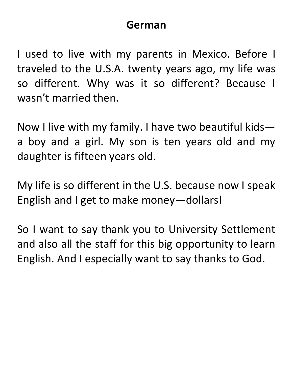#### **German**

I used to live with my parents in Mexico. Before I traveled to the U.S.A. twenty years ago, my life was so different. Why was it so different? Because I wasn't married then.

Now I live with my family. I have two beautiful kids a boy and a girl. My son is ten years old and my daughter is fifteen years old.

My life is so different in the U.S. because now I speak English and I get to make money—dollars!

So I want to say thank you to University Settlement and also all the staff for this big opportunity to learn English. And I especially want to say thanks to God.